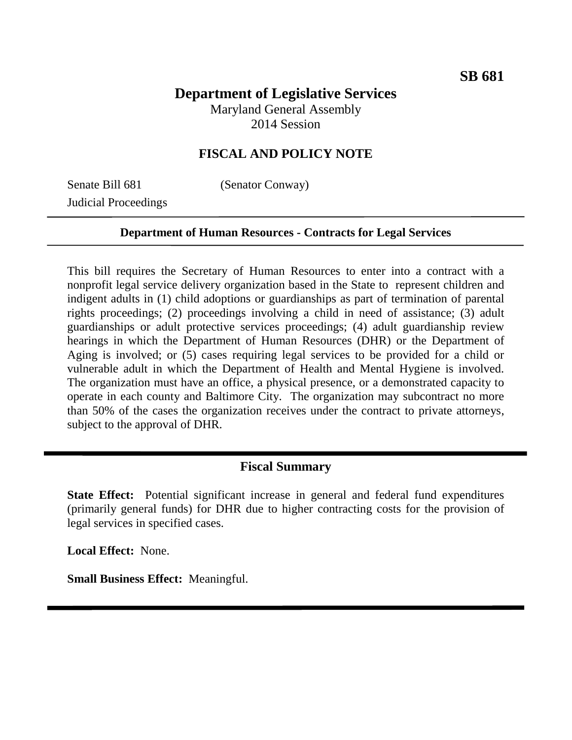# **Department of Legislative Services**

Maryland General Assembly 2014 Session

### **FISCAL AND POLICY NOTE**

Senate Bill 681 (Senator Conway) Judicial Proceedings

#### **Department of Human Resources - Contracts for Legal Services**

This bill requires the Secretary of Human Resources to enter into a contract with a nonprofit legal service delivery organization based in the State to represent children and indigent adults in (1) child adoptions or guardianships as part of termination of parental rights proceedings; (2) proceedings involving a child in need of assistance; (3) adult guardianships or adult protective services proceedings; (4) adult guardianship review hearings in which the Department of Human Resources (DHR) or the Department of Aging is involved; or (5) cases requiring legal services to be provided for a child or vulnerable adult in which the Department of Health and Mental Hygiene is involved. The organization must have an office, a physical presence, or a demonstrated capacity to operate in each county and Baltimore City. The organization may subcontract no more than 50% of the cases the organization receives under the contract to private attorneys, subject to the approval of DHR.

#### **Fiscal Summary**

**State Effect:** Potential significant increase in general and federal fund expenditures (primarily general funds) for DHR due to higher contracting costs for the provision of legal services in specified cases.

**Local Effect:** None.

**Small Business Effect:** Meaningful.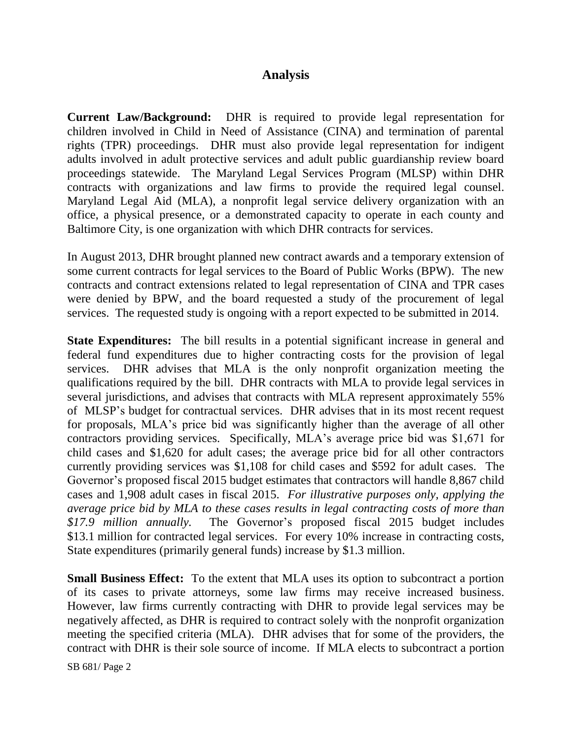#### **Analysis**

**Current Law/Background:** DHR is required to provide legal representation for children involved in Child in Need of Assistance (CINA) and termination of parental rights (TPR) proceedings. DHR must also provide legal representation for indigent adults involved in adult protective services and adult public guardianship review board proceedings statewide. The Maryland Legal Services Program (MLSP) within DHR contracts with organizations and law firms to provide the required legal counsel. Maryland Legal Aid (MLA), a nonprofit legal service delivery organization with an office, a physical presence, or a demonstrated capacity to operate in each county and Baltimore City, is one organization with which DHR contracts for services.

In August 2013, DHR brought planned new contract awards and a temporary extension of some current contracts for legal services to the Board of Public Works (BPW). The new contracts and contract extensions related to legal representation of CINA and TPR cases were denied by BPW, and the board requested a study of the procurement of legal services. The requested study is ongoing with a report expected to be submitted in 2014.

**State Expenditures:** The bill results in a potential significant increase in general and federal fund expenditures due to higher contracting costs for the provision of legal services. DHR advises that MLA is the only nonprofit organization meeting the qualifications required by the bill. DHR contracts with MLA to provide legal services in several jurisdictions, and advises that contracts with MLA represent approximately 55% of MLSP's budget for contractual services. DHR advises that in its most recent request for proposals, MLA's price bid was significantly higher than the average of all other contractors providing services. Specifically, MLA's average price bid was \$1,671 for child cases and \$1,620 for adult cases; the average price bid for all other contractors currently providing services was \$1,108 for child cases and \$592 for adult cases. The Governor's proposed fiscal 2015 budget estimates that contractors will handle 8,867 child cases and 1,908 adult cases in fiscal 2015. *For illustrative purposes only, applying the average price bid by MLA to these cases results in legal contracting costs of more than \$17.9 million annually.* The Governor's proposed fiscal 2015 budget includes \$13.1 million for contracted legal services. For every 10% increase in contracting costs, State expenditures (primarily general funds) increase by \$1.3 million.

**Small Business Effect:** To the extent that MLA uses its option to subcontract a portion of its cases to private attorneys, some law firms may receive increased business. However, law firms currently contracting with DHR to provide legal services may be negatively affected, as DHR is required to contract solely with the nonprofit organization meeting the specified criteria (MLA). DHR advises that for some of the providers, the contract with DHR is their sole source of income. If MLA elects to subcontract a portion

SB 681/ Page 2